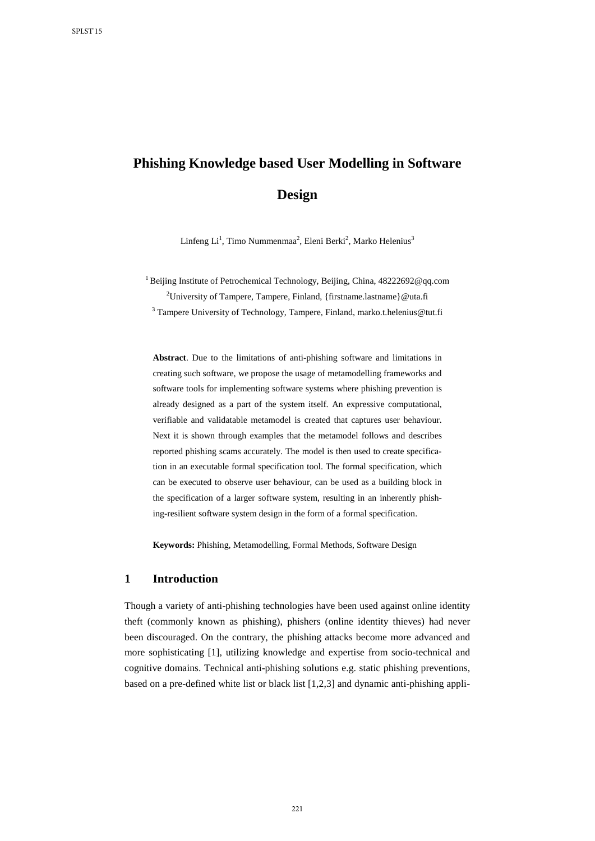# **Phishing Knowledge based User Modelling in Software Design**

Linfeng Li<sup>1</sup>, Timo Nummenmaa<sup>2</sup>, Eleni Berki<sup>2</sup>, Marko Helenius<sup>3</sup>

<sup>1</sup> Beijing Institute of Petrochemical Technology, Beijing, China[, 48222692@qq.com](mailto:48222692@qq.com) <sup>2</sup>University of Tampere, Tampere, Finland, {firstname.lastname} @uta.fi

<sup>3</sup> Tampere University of Technology, Tampere, Finland[, marko.t.helenius@tut.fi](mailto:marko.t.helenius@tut.fi)

**Abstract**. Due to the limitations of anti-phishing software and limitations in creating such software, we propose the usage of metamodelling frameworks and software tools for implementing software systems where phishing prevention is already designed as a part of the system itself. An expressive computational, verifiable and validatable metamodel is created that captures user behaviour. Next it is shown through examples that the metamodel follows and describes reported phishing scams accurately. The model is then used to create specification in an executable formal specification tool. The formal specification, which can be executed to observe user behaviour, can be used as a building block in the specification of a larger software system, resulting in an inherently phishing-resilient software system design in the form of a formal specification.

**Keywords:** Phishing, Metamodelling, Formal Methods, Software Design

#### **1 Introduction**

Though a variety of anti-phishing technologies have been used against online identity theft (commonly known as phishing), phishers (online identity thieves) had never been discouraged. On the contrary, the phishing attacks become more advanced and more sophisticating [1], utilizing knowledge and expertise from socio-technical and cognitive domains. Technical anti-phishing solutions e.g. static phishing preventions, based on a pre-defined white list or black list [1,2,3] and dynamic anti-phishing appli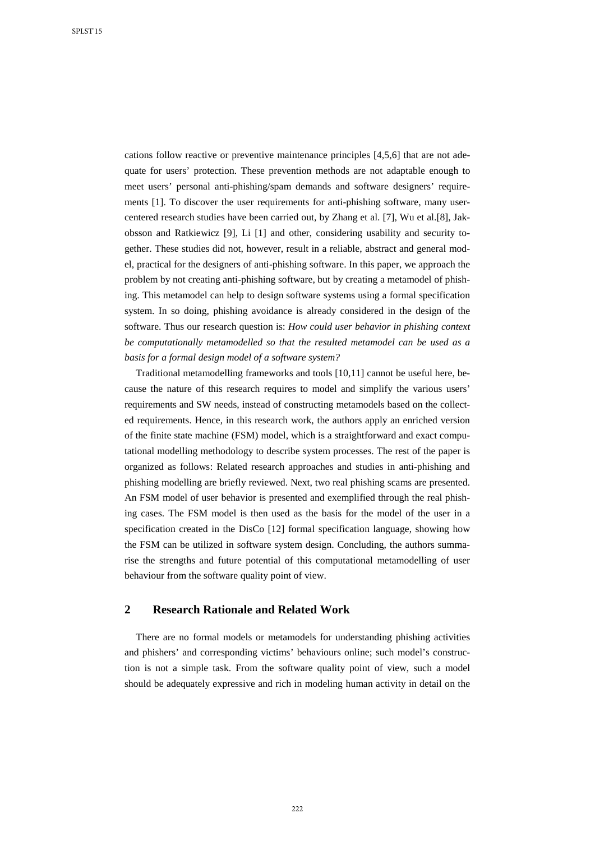cations follow reactive or preventive maintenance principles [4,5,6] that are not adequate for users' protection. These prevention methods are not adaptable enough to meet users' personal anti-phishing/spam demands and software designers' requirements [1]. To discover the user requirements for anti-phishing software, many usercentered research studies have been carried out, by Zhang et al. [7], Wu et al.[8], Jakobsson and Ratkiewicz [9], Li [1] and other, considering usability and security together. These studies did not, however, result in a reliable, abstract and general model, practical for the designers of anti-phishing software. In this paper, we approach the problem by not creating anti-phishing software, but by creating a metamodel of phishing. This metamodel can help to design software systems using a formal specification system. In so doing, phishing avoidance is already considered in the design of the software. Thus our research question is: *How could user behavior in phishing context be computationally metamodelled so that the resulted metamodel can be used as a basis for a formal design model of a software system?*

Traditional metamodelling frameworks and tools [10,11] cannot be useful here, because the nature of this research requires to model and simplify the various users' requirements and SW needs, instead of constructing metamodels based on the collected requirements. Hence, in this research work, the authors apply an enriched version of the finite state machine (FSM) model, which is a straightforward and exact computational modelling methodology to describe system processes. The rest of the paper is organized as follows: Related research approaches and studies in anti-phishing and phishing modelling are briefly reviewed. Next, two real phishing scams are presented. An FSM model of user behavior is presented and exemplified through the real phishing cases. The FSM model is then used as the basis for the model of the user in a specification created in the DisCo [12] formal specification language, showing how the FSM can be utilized in software system design. Concluding, the authors summarise the strengths and future potential of this computational metamodelling of user behaviour from the software quality point of view.

## **2 Research Rationale and Related Work**

There are no formal models or metamodels for understanding phishing activities and phishers' and corresponding victims' behaviours online; such model's construction is not a simple task. From the software quality point of view, such a model should be adequately expressive and rich in modeling human activity in detail on the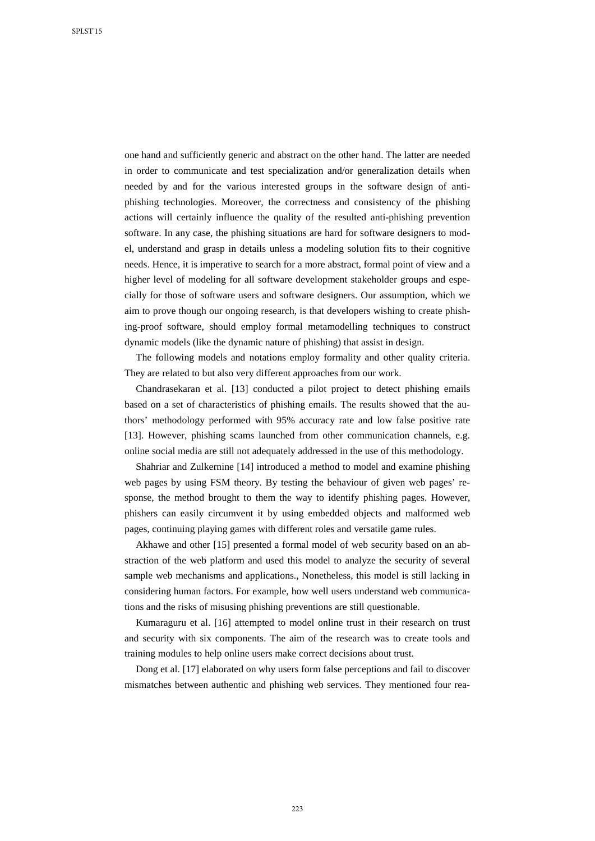one hand and sufficiently generic and abstract on the other hand. The latter are needed in order to communicate and test specialization and/or generalization details when needed by and for the various interested groups in the software design of antiphishing technologies. Moreover, the correctness and consistency of the phishing actions will certainly influence the quality of the resulted anti-phishing prevention software. In any case, the phishing situations are hard for software designers to model, understand and grasp in details unless a modeling solution fits to their cognitive needs. Hence, it is imperative to search for a more abstract, formal point of view and a higher level of modeling for all software development stakeholder groups and especially for those of software users and software designers. Our assumption, which we aim to prove though our ongoing research, is that developers wishing to create phishing-proof software, should employ formal metamodelling techniques to construct dynamic models (like the dynamic nature of phishing) that assist in design.

The following models and notations employ formality and other quality criteria. They are related to but also very different approaches from our work.

Chandrasekaran et al. [13] conducted a pilot project to detect phishing emails based on a set of characteristics of phishing emails. The results showed that the authors' methodology performed with 95% accuracy rate and low false positive rate [13]. However, phishing scams launched from other communication channels, e.g. online social media are still not adequately addressed in the use of this methodology.

Shahriar and Zulkernine [14] introduced a method to model and examine phishing web pages by using FSM theory. By testing the behaviour of given web pages' response, the method brought to them the way to identify phishing pages. However, phishers can easily circumvent it by using embedded objects and malformed web pages, continuing playing games with different roles and versatile game rules.

Akhawe and other [15] presented a formal model of web security based on an abstraction of the web platform and used this model to analyze the security of several sample web mechanisms and applications., Nonetheless, this model is still lacking in considering human factors. For example, how well users understand web communications and the risks of misusing phishing preventions are still questionable.

Kumaraguru et al. [16] attempted to model online trust in their research on trust and security with six components. The aim of the research was to create tools and training modules to help online users make correct decisions about trust.

Dong et al. [17] elaborated on why users form false perceptions and fail to discover mismatches between authentic and phishing web services. They mentioned four rea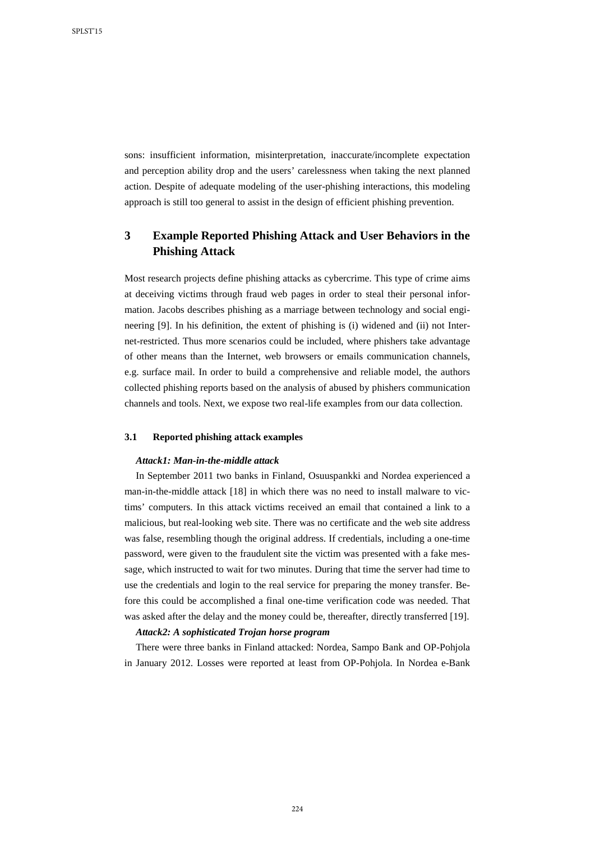sons: insufficient information, misinterpretation, inaccurate/incomplete expectation and perception ability drop and the users' carelessness when taking the next planned action. Despite of adequate modeling of the user-phishing interactions, this modeling approach is still too general to assist in the design of efficient phishing prevention.

## **3 Example Reported Phishing Attack and User Behaviors in the Phishing Attack**

Most research projects define phishing attacks as cybercrime. This type of crime aims at deceiving victims through fraud web pages in order to steal their personal information. Jacobs describes phishing as a marriage between technology and social engineering [9]. In his definition, the extent of phishing is (i) widened and (ii) not Internet-restricted. Thus more scenarios could be included, where phishers take advantage of other means than the Internet, web browsers or emails communication channels, e.g. surface mail. In order to build a comprehensive and reliable model, the authors collected phishing reports based on the analysis of abused by phishers communication channels and tools. Next, we expose two real-life examples from our data collection.

#### **3.1 Reported phishing attack examples**

#### *Attack1: Man-in-the-middle attack*

In September 2011 two banks in Finland, Osuuspankki and Nordea experienced a man-in-the-middle attack [18] in which there was no need to install malware to victims' computers. In this attack victims received an email that contained a link to a malicious, but real-looking web site. There was no certificate and the web site address was false, resembling though the original address. If credentials, including a one-time password, were given to the fraudulent site the victim was presented with a fake message, which instructed to wait for two minutes. During that time the server had time to use the credentials and login to the real service for preparing the money transfer. Before this could be accomplished a final one-time verification code was needed. That was asked after the delay and the money could be, thereafter, directly transferred [19].

#### *Attack2: A sophisticated Trojan horse program*

There were three banks in Finland attacked: Nordea, Sampo Bank and OP-Pohjola in January 2012. Losses were reported at least from OP-Pohjola. In Nordea e-Bank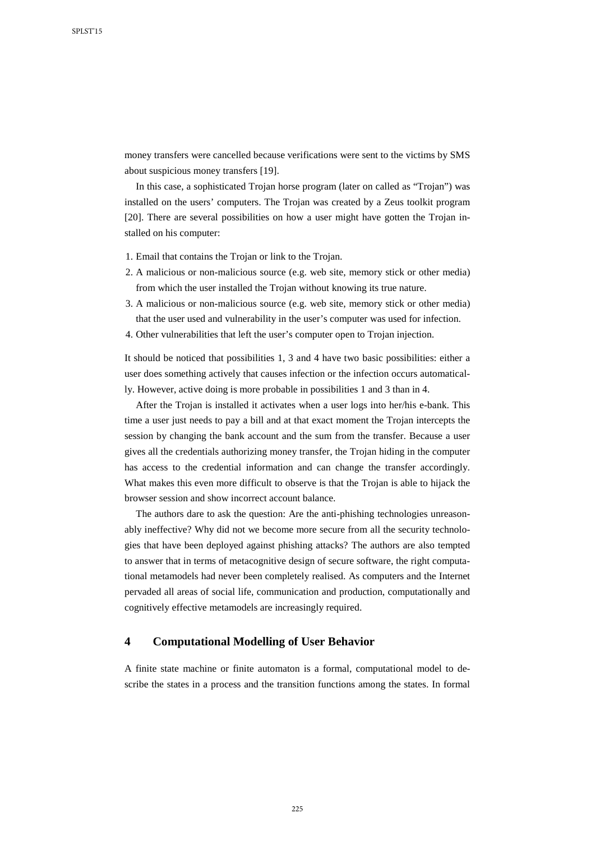money transfers were cancelled because verifications were sent to the victims by SMS about suspicious money transfers [19].

In this case, a sophisticated Trojan horse program (later on called as "Trojan") was installed on the users' computers. The Trojan was created by a Zeus toolkit program [20]. There are several possibilities on how a user might have gotten the Trojan installed on his computer:

- 1. Email that contains the Trojan or link to the Trojan.
- 2. A malicious or non-malicious source (e.g. web site, memory stick or other media) from which the user installed the Trojan without knowing its true nature.
- 3. A malicious or non-malicious source (e.g. web site, memory stick or other media) that the user used and vulnerability in the user's computer was used for infection.
- 4. Other vulnerabilities that left the user's computer open to Trojan injection.

It should be noticed that possibilities 1, 3 and 4 have two basic possibilities: either a user does something actively that causes infection or the infection occurs automatically. However, active doing is more probable in possibilities 1 and 3 than in 4.

After the Trojan is installed it activates when a user logs into her/his e-bank. This time a user just needs to pay a bill and at that exact moment the Trojan intercepts the session by changing the bank account and the sum from the transfer. Because a user gives all the credentials authorizing money transfer, the Trojan hiding in the computer has access to the credential information and can change the transfer accordingly. What makes this even more difficult to observe is that the Trojan is able to hijack the browser session and show incorrect account balance.

The authors dare to ask the question: Are the anti-phishing technologies unreasonably ineffective? Why did not we become more secure from all the security technologies that have been deployed against phishing attacks? The authors are also tempted to answer that in terms of metacognitive design of secure software, the right computational metamodels had never been completely realised. As computers and the Internet pervaded all areas of social life, communication and production, computationally and cognitively effective metamodels are increasingly required.

### **4 Computational Modelling of User Behavior**

A finite state machine or finite automaton is a formal, computational model to describe the states in a process and the transition functions among the states. In formal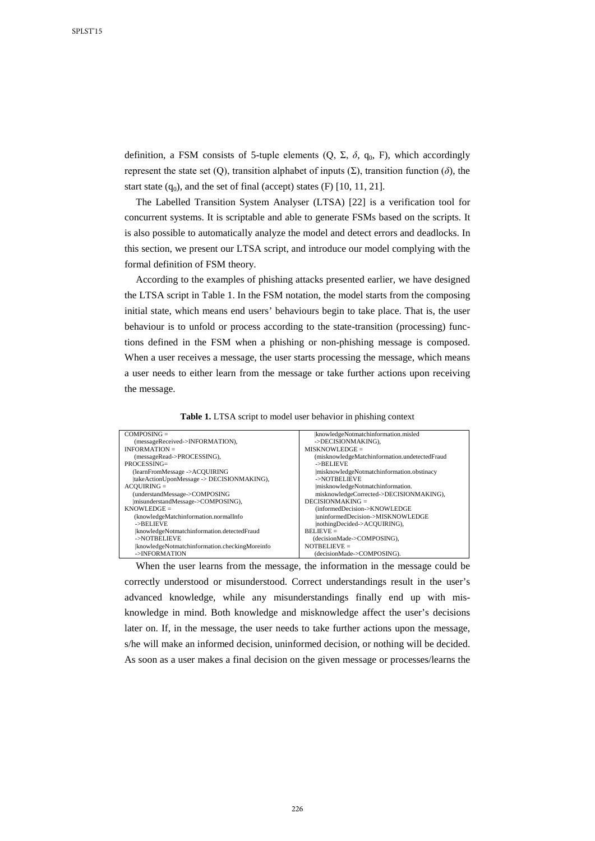definition, a FSM consists of 5-tuple elements  $(Q, \Sigma, \delta, q_0, F)$ , which accordingly represent the state set (Q), transition alphabet of inputs (Σ), transition function (*δ*), the start state  $(q_0)$ , and the set of final (accept) states  $(F)$  [10, 11, 21].

The Labelled Transition System Analyser (LTSA) [22] is a verification tool for concurrent systems. It is scriptable and able to generate FSMs based on the scripts. It is also possible to automatically analyze the model and detect errors and deadlocks. In this section, we present our LTSA script, and introduce our model complying with the formal definition of FSM theory.

According to the examples of phishing attacks presented earlier, we have designed the LTSA script in Table 1. In the FSM notation, the model starts from the composing initial state, which means end users' behaviours begin to take place. That is, the user behaviour is to unfold or process according to the state-transition (processing) functions defined in the FSM when a phishing or non-phishing message is composed. When a user receives a message, the user starts processing the message, which means a user needs to either learn from the message or take further actions upon receiving the message.

**Table 1.** LTSA script to model user behavior in phishing context

| $COMPOSING =$                                 | knowledgeNotmatchinformation.misled           |
|-----------------------------------------------|-----------------------------------------------|
| (messageReceived->INFORMATION),               | ->DECISIONMAKING).                            |
| INFORMATION $=$                               | $MISKNOWLEDGE =$                              |
| (messageRead->PROCESSING),                    | (misknowledgeMatchinformation.undetectedFraud |
| $PROCESSING=$                                 | ->BELIEVE                                     |
| (learnFromMessage ->ACQUIRING                 | misknowledgeNotmatchinformation.obstinacy     |
| takeActionUponMessage -> DECISIONMAKING),     | ->NOTBELIEVE                                  |
| $ACOUNRING =$                                 | misknowledgeNotmatchinformation.              |
| (understandMessage->COMPOSING                 | misknowledgeCorrected->DECISIONMAKING),       |
| misunderstandMessage->COMPOSING),             | $DECISIONMAXING =$                            |
| $KNOWLEDGE =$                                 | (informedDecision->KNOWLEDGE                  |
| (knowledgeMatchinformation.normalInfo         | luninformedDecision->MISKNOWLEDGE             |
| ->BELIEVE                                     | nothingDecided->ACQUIRING),                   |
| knowledgeNotmatchinformation.detectedFraud    | $BELINEVE =$                                  |
| ->NOTBELIEVE                                  | (decisionMade->COMPOSING),                    |
| knowledgeNotmatchinformation.checkingMoreinfo | NOTBELIEVE $=$                                |
| ->INFORMATION                                 | (decisionMade->COMPOSING).                    |

When the user learns from the message, the information in the message could be correctly understood or misunderstood. Correct understandings result in the user's advanced knowledge, while any misunderstandings finally end up with misknowledge in mind. Both knowledge and misknowledge affect the user's decisions later on. If, in the message, the user needs to take further actions upon the message, s/he will make an informed decision, uninformed decision, or nothing will be decided. As soon as a user makes a final decision on the given message or processes/learns the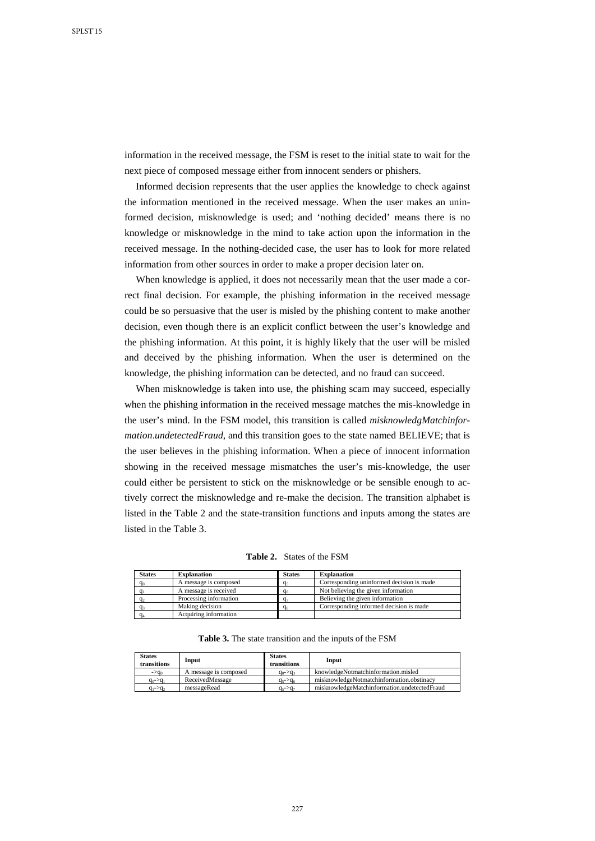information in the received message, the FSM is reset to the initial state to wait for the next piece of composed message either from innocent senders or phishers.

Informed decision represents that the user applies the knowledge to check against the information mentioned in the received message. When the user makes an uninformed decision, misknowledge is used; and 'nothing decided' means there is no knowledge or misknowledge in the mind to take action upon the information in the received message. In the nothing-decided case, the user has to look for more related information from other sources in order to make a proper decision later on.

When knowledge is applied, it does not necessarily mean that the user made a correct final decision. For example, the phishing information in the received message could be so persuasive that the user is misled by the phishing content to make another decision, even though there is an explicit conflict between the user's knowledge and the phishing information. At this point, it is highly likely that the user will be misled and deceived by the phishing information. When the user is determined on the knowledge, the phishing information can be detected, and no fraud can succeed.

When misknowledge is taken into use, the phishing scam may succeed, especially when the phishing information in the received message matches the mis-knowledge in the user's mind. In the FSM model, this transition is called *misknowledgMatchinformation*.*undetectedFraud*, and this transition goes to the state named BELIEVE; that is the user believes in the phishing information. When a piece of innocent information showing in the received message mismatches the user's mis-knowledge, the user could either be persistent to stick on the misknowledge or be sensible enough to actively correct the misknowledge and re-make the decision. The transition alphabet is listed in the Table 2 and the state-transition functions and inputs among the states are listed in the Table 3.

| <b>Table 2.</b> States of the FSM |  |
|-----------------------------------|--|
|-----------------------------------|--|

| <b>States</b> | <b>Explanation</b>     | <b>States</b>  | <b>Explanation</b>                        |
|---------------|------------------------|----------------|-------------------------------------------|
| $q_0$         | A message is composed  | qء             | Corresponding uninformed decision is made |
|               | A message is received  | q <sub>6</sub> | Not believing the given information       |
| d٠            | Processing information | G-             | Believing the given information           |
|               | Making decision        | $q_{\rm s}$    | Corresponding informed decision is made   |
|               | Acquiring information  |                |                                           |

**Table 3.** The state transition and the inputs of the FSM

| <b>States</b><br>transitions | Input                 | <b>States</b><br>transitions | Input                                        |
|------------------------------|-----------------------|------------------------------|----------------------------------------------|
| $\rightarrow$ q <sub>o</sub> | A message is composed | $q_s$ -> $q_t$               | knowledgeNotmatchinformation.misled          |
| $q_0$ -> $q_1$               | ReceivedMessage       | $q_{5}$ -> $q_{6}$           | misknowledgeNotmatchinformation.obstinacy    |
| $q_1$ -> $q_2$               | messageRead           | $q_{5}$ -> $q_{7}$           | misknowledgeMatchinformation.undetectedFraud |

227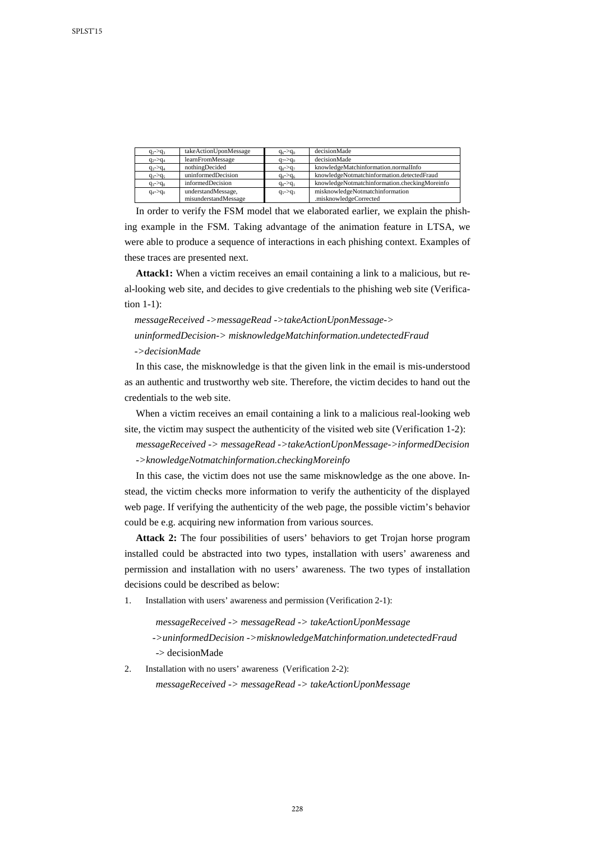| $q_2$ -> $q_3$ | takeActionUponMessage | $q_6$ -> $q_0$ | decisionMade                                  |
|----------------|-----------------------|----------------|-----------------------------------------------|
| $q_2$ -> $q_4$ | learnFromMessage      | $q_7$ -> $q_0$ | decisionMade                                  |
| $q_3$ -> $q_4$ | nothingDecided        | $q_8$ -> $q_7$ | knowledgeMatchinformation.normalInfo          |
| $q_3$ -> $q_5$ | uninformedDecision    | $q_8$ -> $q_6$ | knowledgeNotmatchinformation.detectedFraud    |
| $q_3$ -> $q_8$ | informedDecision      | $q_8$ -> $q_1$ | knowledgeNotmatchinformation.checkingMoreinfo |
| $q_4$ -> $q_0$ | understandMessage,    | $q_5$ -> $q_3$ | misknowledgeNotmatchinformation               |
|                | misunderstandMessage  |                | .misknowledgeCorrected                        |

In order to verify the FSM model that we elaborated earlier, we explain the phishing example in the FSM. Taking advantage of the animation feature in LTSA, we were able to produce a sequence of interactions in each phishing context. Examples of these traces are presented next.

**Attack1:** When a victim receives an email containing a link to a malicious, but real-looking web site, and decides to give credentials to the phishing web site (Verification 1-1):

## *messageReceived ->messageRead ->takeActionUponMessage-> uninformedDecision-> misknowledgeMatchinformation.undetectedFraud*

*->decisionMade*

In this case, the misknowledge is that the given link in the email is mis-understood as an authentic and trustworthy web site. Therefore, the victim decides to hand out the credentials to the web site.

When a victim receives an email containing a link to a malicious real-looking web site, the victim may suspect the authenticity of the visited web site (Verification 1-2):

*messageReceived -> messageRead ->takeActionUponMessage->informedDecision ->knowledgeNotmatchinformation.checkingMoreinfo*

In this case, the victim does not use the same misknowledge as the one above. Instead, the victim checks more information to verify the authenticity of the displayed web page. If verifying the authenticity of the web page, the possible victim's behavior could be e.g. acquiring new information from various sources.

**Attack 2:** The four possibilities of users' behaviors to get Trojan horse program installed could be abstracted into two types, installation with users' awareness and permission and installation with no users' awareness. The two types of installation decisions could be described as below:

1. Installation with users' awareness and permission (Verification 2-1):

*messageReceived -> messageRead -> takeActionUponMessage* 

*->uninformedDecision ->misknowledgeMatchinformation.undetectedFraud* -> decisionMade

2. Installation with no users' awareness (Verification 2-2):

*messageReceived -> messageRead -> takeActionUponMessage*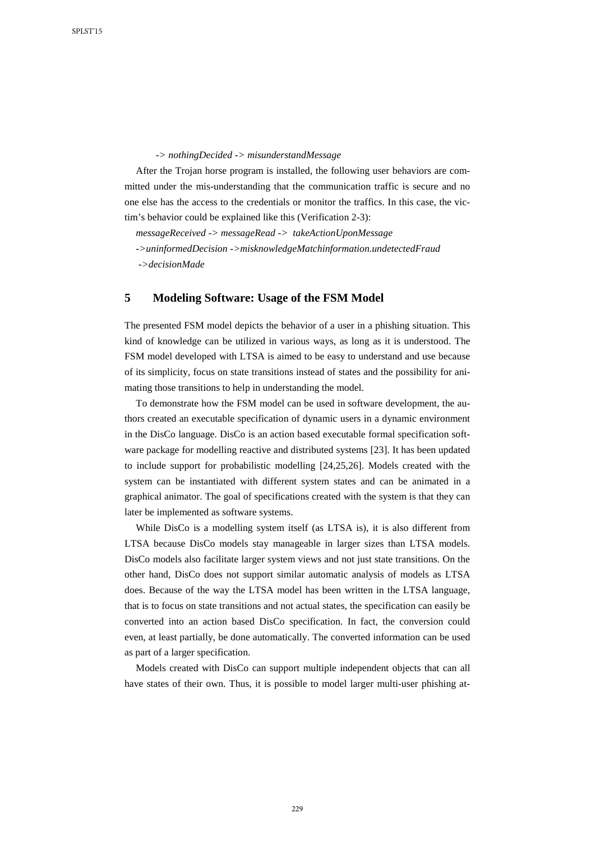*-> nothingDecided -> misunderstandMessage*

After the Trojan horse program is installed, the following user behaviors are committed under the mis-understanding that the communication traffic is secure and no one else has the access to the credentials or monitor the traffics. In this case, the victim's behavior could be explained like this (Verification 2-3):

*messageReceived -> messageRead -> takeActionUponMessage ->uninformedDecision ->misknowledgeMatchinformation.undetectedFraud ->decisionMade*

## **5 Modeling Software: Usage of the FSM Model**

The presented FSM model depicts the behavior of a user in a phishing situation. This kind of knowledge can be utilized in various ways, as long as it is understood. The FSM model developed with LTSA is aimed to be easy to understand and use because of its simplicity, focus on state transitions instead of states and the possibility for animating those transitions to help in understanding the model.

To demonstrate how the FSM model can be used in software development, the authors created an executable specification of dynamic users in a dynamic environment in the DisCo language. DisCo is an action based executable formal specification software package for modelling reactive and distributed systems [23]. It has been updated to include support for probabilistic modelling [24,25,26]. Models created with the system can be instantiated with different system states and can be animated in a graphical animator. The goal of specifications created with the system is that they can later be implemented as software systems.

While DisCo is a modelling system itself (as LTSA is), it is also different from LTSA because DisCo models stay manageable in larger sizes than LTSA models. DisCo models also facilitate larger system views and not just state transitions. On the other hand, DisCo does not support similar automatic analysis of models as LTSA does. Because of the way the LTSA model has been written in the LTSA language, that is to focus on state transitions and not actual states, the specification can easily be converted into an action based DisCo specification. In fact, the conversion could even, at least partially, be done automatically. The converted information can be used as part of a larger specification.

Models created with DisCo can support multiple independent objects that can all have states of their own. Thus, it is possible to model larger multi-user phishing at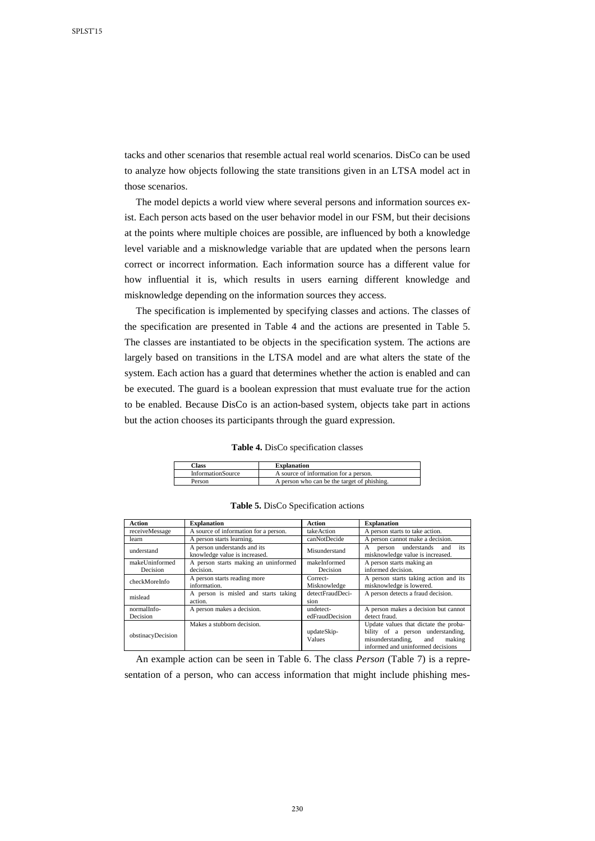tacks and other scenarios that resemble actual real world scenarios. DisCo can be used to analyze how objects following the state transitions given in an LTSA model act in those scenarios.

The model depicts a world view where several persons and information sources exist. Each person acts based on the user behavior model in our FSM, but their decisions at the points where multiple choices are possible, are influenced by both a knowledge level variable and a misknowledge variable that are updated when the persons learn correct or incorrect information. Each information source has a different value for how influential it is, which results in users earning different knowledge and misknowledge depending on the information sources they access.

The specification is implemented by specifying classes and actions. The classes of the specification are presented in Table 4 and the actions are presented in Table 5. The classes are instantiated to be objects in the specification system. The actions are largely based on transitions in the LTSA model and are what alters the state of the system. Each action has a guard that determines whether the action is enabled and can be executed. The guard is a boolean expression that must evaluate true for the action to be enabled. Because DisCo is an action-based system, objects take part in actions but the action chooses its participants through the guard expression.

**Table 4.** DisCo specification classes

| <b>Class</b>             | <b>Explanation</b>                          |
|--------------------------|---------------------------------------------|
| <b>InformationSource</b> | A source of information for a person.       |
| Person                   | A person who can be the target of phishing. |

|  |  | Table 5. DisCo Specification actions |  |
|--|--|--------------------------------------|--|
|--|--|--------------------------------------|--|

| <b>Action</b>                                   | <b>Explanation</b>                                            | Action                       | <b>Explanation</b>                                                                                                                              |  |
|-------------------------------------------------|---------------------------------------------------------------|------------------------------|-------------------------------------------------------------------------------------------------------------------------------------------------|--|
| receiveMessage                                  | A source of information for a person.                         | takeAction                   | A person starts to take action.                                                                                                                 |  |
| learn                                           | A person starts learning.                                     | canNotDecide                 | A person cannot make a decision.                                                                                                                |  |
| understand                                      | A person understands and its<br>knowledge value is increased. | Misunderstand                | person understands and its<br>A<br>misknowledge value is increased.                                                                             |  |
| makeUninformed<br>Decision                      | A person starts making an uninformed<br>decision.             | makeInformed<br>Decision     | A person starts making an<br>informed decision.                                                                                                 |  |
| checkMoreInfo                                   | A person starts reading more<br>information.                  | Correct-<br>Misknowledge     | A person starts taking action and its<br>misknowledge is lowered.                                                                               |  |
| mislead                                         | A person is misled and starts taking<br>action.               | detectFraudDeci-<br>sion     | A person detects a fraud decision.                                                                                                              |  |
| normalInfo-<br>Decision                         | A person makes a decision.                                    | undetect-<br>edFraudDecision | A person makes a decision but cannot<br>detect fraud.                                                                                           |  |
| Makes a stubborn decision.<br>obstinacyDecision |                                                               | updateSkip-<br>Values        | Update values that dictate the proba-<br>bility of a person understanding,<br>misunderstanding, and making<br>informed and uninformed decisions |  |

An example action can be seen in Table 6. The class *Person* (Table 7) is a representation of a person, who can access information that might include phishing mes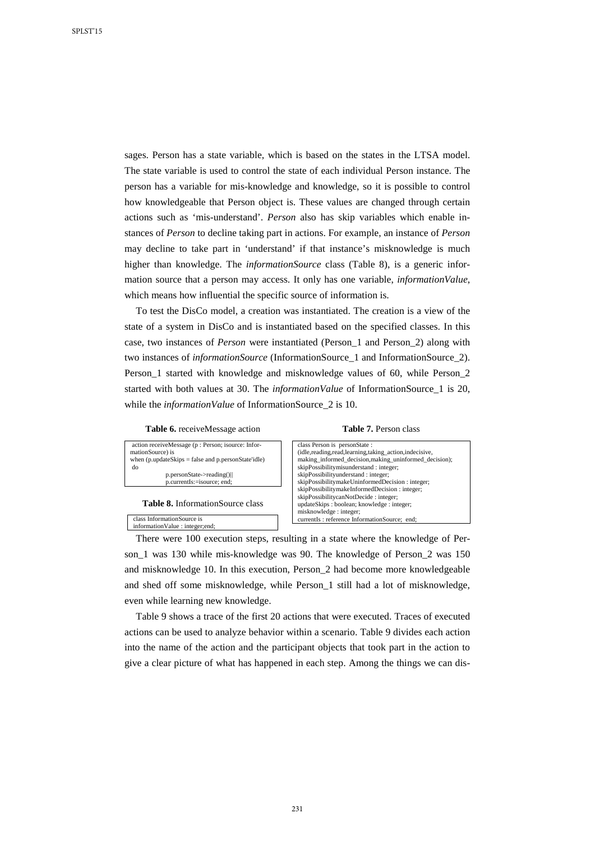sages. Person has a state variable, which is based on the states in the LTSA model. The state variable is used to control the state of each individual Person instance. The person has a variable for mis-knowledge and knowledge, so it is possible to control how knowledgeable that Person object is. These values are changed through certain actions such as 'mis-understand'. *Person* also has skip variables which enable instances of *Person* to decline taking part in actions. For example, an instance of *Person* may decline to take part in 'understand' if that instance's misknowledge is much higher than knowledge. The *informationSource* class (Table 8), is a generic information source that a person may access. It only has one variable, *informationValue*, which means how influential the specific source of information is.

To test the DisCo model, a creation was instantiated. The creation is a view of the state of a system in DisCo and is instantiated based on the specified classes. In this case, two instances of *Person* were instantiated (Person\_1 and Person\_2) along with two instances of *informationSource* (InformationSource\_1 and InformationSource\_2). Person\_1 started with knowledge and misknowledge values of 60, while Person\_2 started with both values at 30. The *informationValue* of InformationSource\_1 is 20, while the *informationValue* of InformationSource 2 is 10.

**Table 6.** receiveMessage action



**Table 8.** InformationSource class

class InformationSource is informationValue : integer;end;

**Table 7.** Person class

| class Person is personState:                               |
|------------------------------------------------------------|
| (idle, reading, read, learning, taking action, indecisive, |
| making informed decision, making uninformed decision);     |
| skipPossibilitymisunderstand: integer;                     |
| skipPossibilityunderstand: integer;                        |
| skipPossibilitymakeUninformedDecision: integer;            |
| skipPossibilitymakeInformedDecision: integer;              |
| skipPossibilitycanNotDecide: integer;                      |
| updateSkips: boolean; knowledge: integer;                  |
| misknowledge: integer;                                     |
| currentIs: reference InformationSource; end;               |
|                                                            |

There were 100 execution steps, resulting in a state where the knowledge of Person 1 was 130 while mis-knowledge was 90. The knowledge of Person 2 was 150 and misknowledge 10. In this execution, Person\_2 had become more knowledgeable and shed off some misknowledge, while Person\_1 still had a lot of misknowledge, even while learning new knowledge.

Table 9 shows a trace of the first 20 actions that were executed. Traces of executed actions can be used to analyze behavior within a scenario. Table 9 divides each action into the name of the action and the participant objects that took part in the action to give a clear picture of what has happened in each step. Among the things we can dis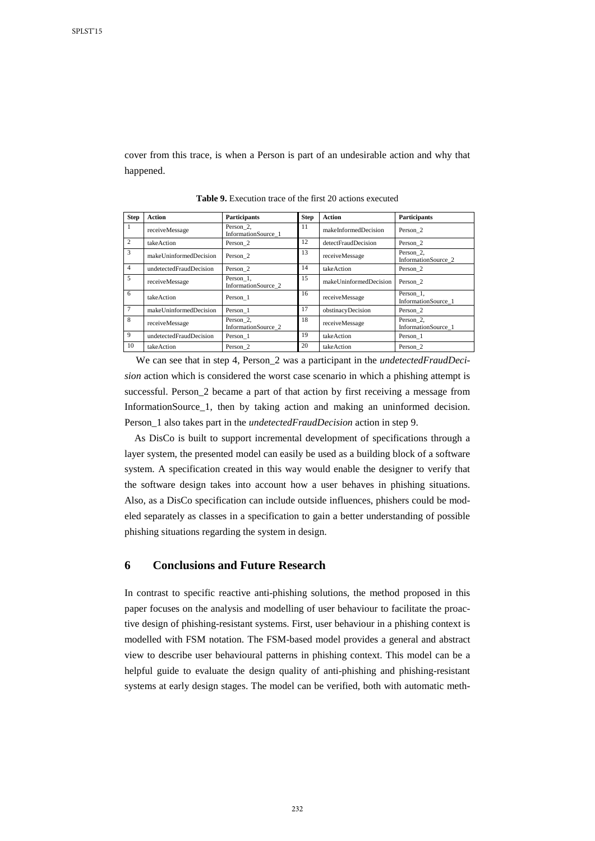cover from this trace, is when a Person is part of an undesirable action and why that happened.

| <b>Step</b>    | <b>Action</b>           | <b>Participants</b>              | <b>Step</b> | <b>Action</b>          | Participants                     |
|----------------|-------------------------|----------------------------------|-------------|------------------------|----------------------------------|
| $\mathbf{1}$   | receiveMessage          | Person 2,<br>InformationSource 1 | 11          | makeInformedDecision   | Person 2                         |
| $\overline{2}$ | takeAction              | Person 2                         | 12          | detectFraudDecision    | Person 2                         |
| 3              | makeUninformedDecision  | Person 2                         | 13          | receiveMessage         | Person 2.<br>InformationSource 2 |
| $\overline{4}$ | undetectedFraudDecision | Person 2                         | 14          | take Action            | Person 2                         |
| 5              | receiveMessage          | Person 1,<br>InformationSource 2 | 15          | makeUninformedDecision | Person 2                         |
| 6              | takeAction              | Person 1                         | 16          | receiveMessage         | Person 1.<br>InformationSource 1 |
| $\overline{7}$ | makeUninformedDecision  | Person 1                         | 17          | obstinacyDecision      | Person 2                         |
| 8              | receiveMessage          | Person 2,<br>InformationSource 2 | 18          | receiveMessage         | Person 2,<br>InformationSource 1 |
| 9              | undetectedFraudDecision | Person 1                         | 19          | takeAction             | Person 1                         |
| 10             | takeAction              | Person 2                         | 20          | takeAction             | Person 2                         |

**Table 9.** Execution trace of the first 20 actions executed

We can see that in step 4, Person\_2 was a participant in the *undetectedFraudDecision* action which is considered the worst case scenario in which a phishing attempt is successful. Person\_2 became a part of that action by first receiving a message from InformationSource\_1, then by taking action and making an uninformed decision. Person\_1 also takes part in the *undetectedFraudDecision* action in step 9.

As DisCo is built to support incremental development of specifications through a layer system, the presented model can easily be used as a building block of a software system. A specification created in this way would enable the designer to verify that the software design takes into account how a user behaves in phishing situations. Also, as a DisCo specification can include outside influences, phishers could be modeled separately as classes in a specification to gain a better understanding of possible phishing situations regarding the system in design.

## **6 Conclusions and Future Research**

In contrast to specific reactive anti-phishing solutions, the method proposed in this paper focuses on the analysis and modelling of user behaviour to facilitate the proactive design of phishing-resistant systems. First, user behaviour in a phishing context is modelled with FSM notation. The FSM-based model provides a general and abstract view to describe user behavioural patterns in phishing context. This model can be a helpful guide to evaluate the design quality of anti-phishing and phishing-resistant systems at early design stages. The model can be verified, both with automatic meth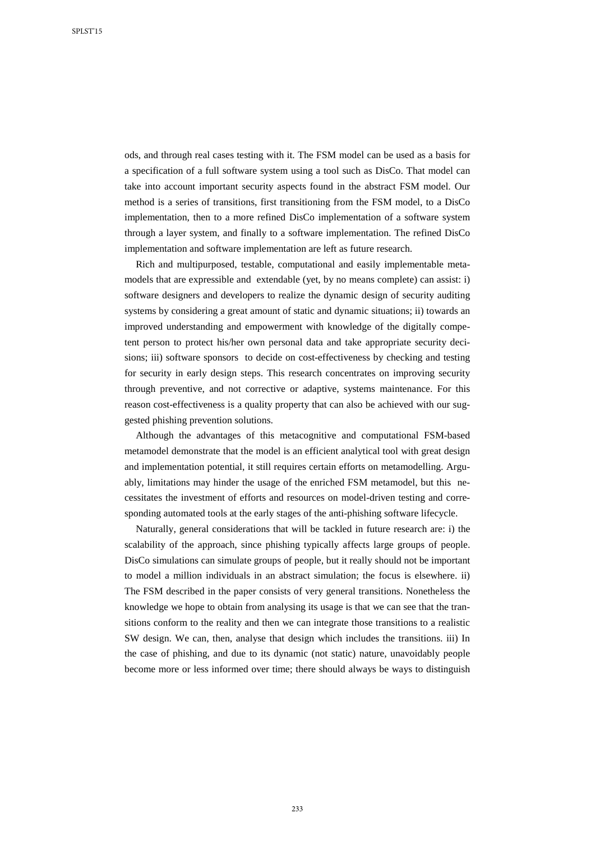ods, and through real cases testing with it. The FSM model can be used as a basis for a specification of a full software system using a tool such as DisCo. That model can take into account important security aspects found in the abstract FSM model. Our method is a series of transitions, first transitioning from the FSM model, to a DisCo implementation, then to a more refined DisCo implementation of a software system through a layer system, and finally to a software implementation. The refined DisCo implementation and software implementation are left as future research.

Rich and multipurposed, testable, computational and easily implementable metamodels that are expressible and extendable (yet, by no means complete) can assist: i) software designers and developers to realize the dynamic design of security auditing systems by considering a great amount of static and dynamic situations; ii) towards an improved understanding and empowerment with knowledge of the digitally competent person to protect his/her own personal data and take appropriate security decisions; iii) software sponsors to decide on cost-effectiveness by checking and testing for security in early design steps. This research concentrates on improving security through preventive, and not corrective or adaptive, systems maintenance. For this reason cost-effectiveness is a quality property that can also be achieved with our suggested phishing prevention solutions.

Although the advantages of this metacognitive and computational FSM-based metamodel demonstrate that the model is an efficient analytical tool with great design and implementation potential, it still requires certain efforts on metamodelling. Arguably, limitations may hinder the usage of the enriched FSM metamodel, but this necessitates the investment of efforts and resources on model-driven testing and corresponding automated tools at the early stages of the anti-phishing software lifecycle.

Naturally, general considerations that will be tackled in future research are: i) the scalability of the approach, since phishing typically affects large groups of people. DisCo simulations can simulate groups of people, but it really should not be important to model a million individuals in an abstract simulation; the focus is elsewhere. ii) The FSM described in the paper consists of very general transitions. Nonetheless the knowledge we hope to obtain from analysing its usage is that we can see that the transitions conform to the reality and then we can integrate those transitions to a realistic SW design. We can, then, analyse that design which includes the transitions. iii) In the case of phishing, and due to its dynamic (not static) nature, unavoidably people become more or less informed over time; there should always be ways to distinguish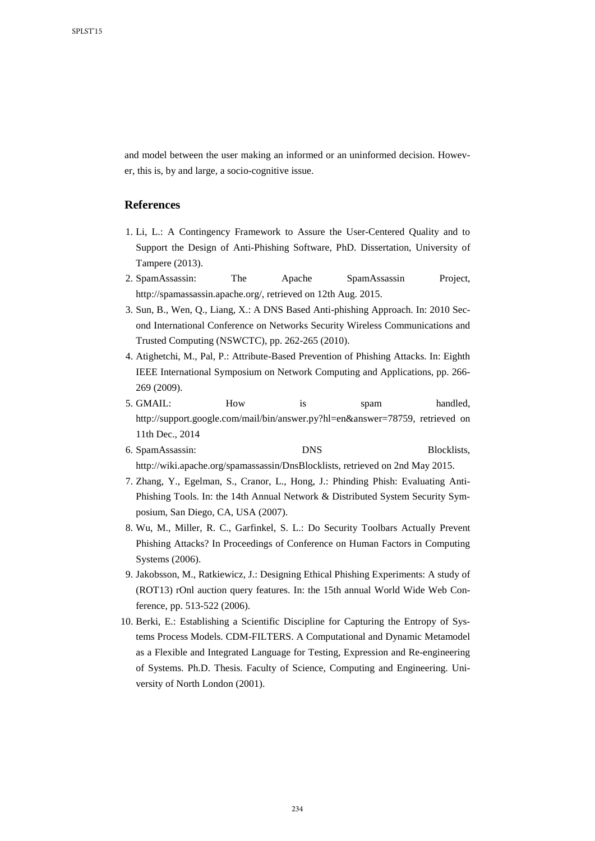and model between the user making an informed or an uninformed decision. However, this is, by and large, a socio-cognitive issue.

## **References**

- 1. Li, L.: A Contingency Framework to Assure the User-Centered Quality and to Support the Design of Anti-Phishing Software, PhD. Dissertation, University of Tampere (2013).
- 2. SpamAssassin: The Apache SpamAssassin Project, http://spamassassin.apache.org/, retrieved on 12th Aug. 2015.
- 3. Sun, B., Wen, Q., Liang, X.: A DNS Based Anti-phishing Approach. In: 2010 Second International Conference on Networks Security Wireless Communications and Trusted Computing (NSWCTC), pp. 262-265 (2010).
- 4. Atighetchi, M., Pal, P.: Attribute-Based Prevention of Phishing Attacks. In: Eighth IEEE International Symposium on Network Computing and Applications, pp. 266- 269 (2009).
- 5. GMAIL: How is spam handled, http://support.google.com/mail/bin/answer.py?hl=en&answer=78759, retrieved on 11th Dec., 2014
- 6. SpamAssassin: DNS Blocklists, http://wiki.apache.org/spamassassin/DnsBlocklists, retrieved on 2nd May 2015.
- 7. Zhang, Y., Egelman, S., Cranor, L., Hong, J.: Phinding Phish: Evaluating Anti-Phishing Tools. In: the 14th Annual Network & Distributed System Security Symposium, San Diego, CA, USA (2007).
- 8. Wu, M., Miller, R. C., Garfinkel, S. L.: Do Security Toolbars Actually Prevent Phishing Attacks? In Proceedings of Conference on Human Factors in Computing Systems (2006).
- 9. Jakobsson, M., Ratkiewicz, J.: Designing Ethical Phishing Experiments: A study of (ROT13) rOnl auction query features. In: the 15th annual World Wide Web Conference, pp. 513-522 (2006).
- 10. Berki, E.: Establishing a Scientific Discipline for Capturing the Entropy of Systems Process Models. CDM-FILTERS. A Computational and Dynamic Metamodel as a Flexible and Integrated Language for Testing, Expression and Re-engineering of Systems. Ph.D. Thesis. Faculty of Science, Computing and Engineering. University of North London (2001).